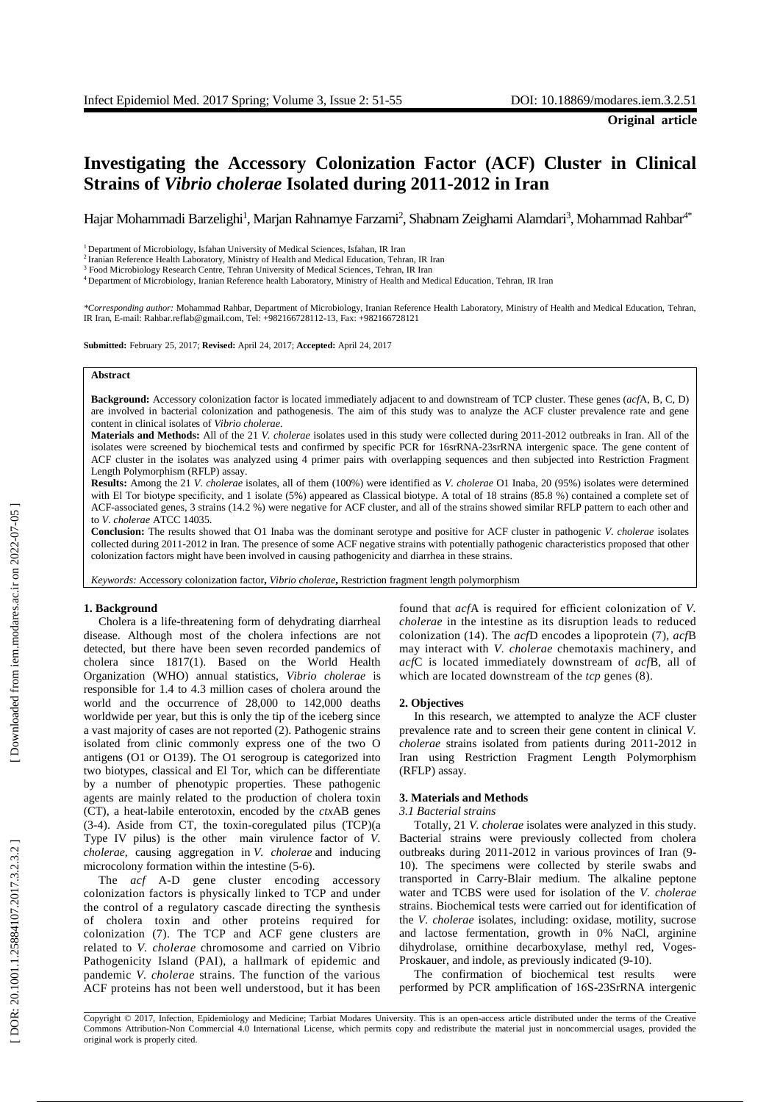# **Investigating the Accessory Colonization Factor (ACF) Cluster in Clinical Strains of**  *Vibrio cholera e* **Isolated during 2011 -2012 in Iran**

Hajar Mohammadi Barzelighi<sup>1</sup>, Marjan Rahnamye Farzami<sup>2</sup>[, Shabnam](javascript:void\(0\);) Zeighami Alamdari<sup>3</sup>, Mohammad Rahbar<sup>4\*</sup>

<sup>1</sup> Department of Microbiology, Isfahan University of Medical Sciences, Isfahan, IR Iran

<sup>2</sup> Iranian Reference Health Laboratory, Ministry of Health and Medical Education, Tehran, IR Iran

<sup>3</sup> Food Microbiology Research Centre, Tehran University of Medical Sciences, Tehran, IR Iran

<sup>4</sup> Department of Microbiology, Iranian Reference health Laboratory, Ministry of Health and Medical Education, Tehran, IR Iran

*\*Corresponding author:* Mohammad Rahbar, Department of Microbiology, Iranian Reference Health Laboratory, Ministry of Health and Medical Education, Tehran, IR Iran, E -mail: Rahbar.reflab@gmail.com, Tel: +982166728112 -13, Fax: +982166728121

**Submitted:** February 25, 2017; **Revised:** April 24, 2017; **Accepted:** April 24, 2017

### **Abstract**

**Background:** Accessory colonization factor is located immediately adjacent to and downstream of TCP cluster . These genes (*acf*A, B, C, D ) are involved in bacterial colonization and pathogenesis . The aim of this study was to analyze the ACF cluster prevalence rate and gene content in clinical isolates of *Vibrio cholerae* .

**Materials and Methods:** All of the 21 *V. cholerae* isolates used in this study were collected during 2011 -2012 outbreaks in Iran . All of the isolates were screened by biochemical tests and confirmed by specific PCR for 16srRNA -23srRNA intergenic space. The gene content of ACF cluster in the isolates was analyzed using 4 primer pairs with overlapping sequences and then subjected into Restriction Fragment Length Polymorphism (RFLP) assay .

**Results:** Among the 21 *V. cholerae* isolates, all of them (100%) were identified as *V. cholerae* O1 Inaba , 20 (95%) isolates were determined with El Tor biotype specificity, and 1 isolate (5%) appeared as Classical biotype. A total of 18 strains (85.8 %) contained a complete set of ACF -associated genes, 3 strains (14.2 %) were negative for ACF cluster , and all of the strains showed similar RFLP pattern to each other and to *V. cholerae* ATCC 14035.

**Conclusion:** The results showed that O1 Inaba was the dominant serotype and positive for ACF cluster in pathogenic *V. cholerae* isolates collected during 2011-2012 in Iran. The presence of some ACF negative strains with potentially pathogenic characteristics proposed that other colonization factors might have been involved in causing pathogen icity and diarrhea in these strains.

*Keywords :* Accessory colonization factor**,** *Vibrio cholera e***,** Restriction fragment length polymorphism

### **1. Background**

Cholera is a life -threatening form of dehydrating diarrheal disease . Although most of the cholera infections are not detected, but there have been seven recorded pandemics of cholera since 1817 ( 1 ) . Based on the World Health Organization (WHO) annual statistics, *Vibrio cholerae* is responsible for 1.4 to 4.3 million cases of cholera around the world and the occurrence of 28,000 to 142,000 deaths worldwide per year, but this is only the tip of the iceberg since a vast majority of cases are not reported (2). Pathogenic strains isolated from clinic commonly express one of the two O antigens (O1 or O139). The O1 serogroup is categorized into two biotypes, classical and El Tor, which can be differentiate by a number of phenotypic properties. These pathogenic agents are mainly related to the production of cholera toxin (CT) , a heat -labile enterotoxin , encoded by the *ctx*AB genes ( 3 - 4 ). Aside from CT*,* the toxin -coregulated pilus (TCP)(a Type IV pilus) is the other main virulence factor of *V. cholerae*, causing aggregation in *V. cholerae* and inducing microcolony formation within the intestine (5-6).

The *acf* A - D gene cluster encoding accessory colonization factors is physically linked to TCP and under the control of a regulatory cascade directing the synthesis of cholera toxin and other proteins required for colonization ( 7 ) . The TCP and ACF gene cluster s are related to *V. cholerae* chromosome and carried on Vibrio Pathogenicity Island (PAI ), a hallmark of epidemic and pandemic *V. cholerae* strains . The function of the various ACF proteins has not been well understood, but it has been

found that *acf*A is required for efficient colonization of *V. cholerae* in the intestine as its disruption leads to reduce d colonization (14 ). The *acf*D encodes a lipoprotein ( 7 ) , *acf*B may interact with *V. cholera e* chemotaxis machinery , and *acf*C is located immediately downstream of *acf*B, all of which are located downstream of the *tcp* genes (8).

#### **2. Objectives**

In this research, we attempted to analyze the ACF cluster prevalence rate and to screen their gene content in clinical *V. cholerae* strains isolated from patients during 2011 -2012 in Iran using Restriction Fragment Length Polymorphism (RFLP) assay .

### **3. Materials and Methods**

## *3.1 Bacterial strains*

Totally, 21 *V. cholerae* isolates were analyzed in this study. Bacterial strains were previously collected from cholera outbreaks during 2011-2012 in various provinces of Iran (9-10 ). The specimens were collected by sterile swabs and transported in Carry -Blair medium. The alkaline peptone water and TCBS were used for isolation of the *V. cholerae* strains . Biochemical tests were carried out for identification of the *V. cholerae* isolates, including: oxidase, motility, sucrose and lactose fermentation, growth in 0% NaCl, arginine d ihydrolase, ornithine decarboxylase, methyl red, Voges - Proskauer, and indole, as previously indicated (9-10).

The confirmation of biochemical test results were performed by PCR amplification of 16S -23SrRNA intergenic

Copyright © 2017, Infection, Epidemiology and Medicine; Tarbiat Modares University. This is an open -access article distributed under the terms of the Creative Commons Attribution -Non Commercial 4.0 International License, which permits copy and redistribute the material just in noncommercial usages, provided the original work is properly cited .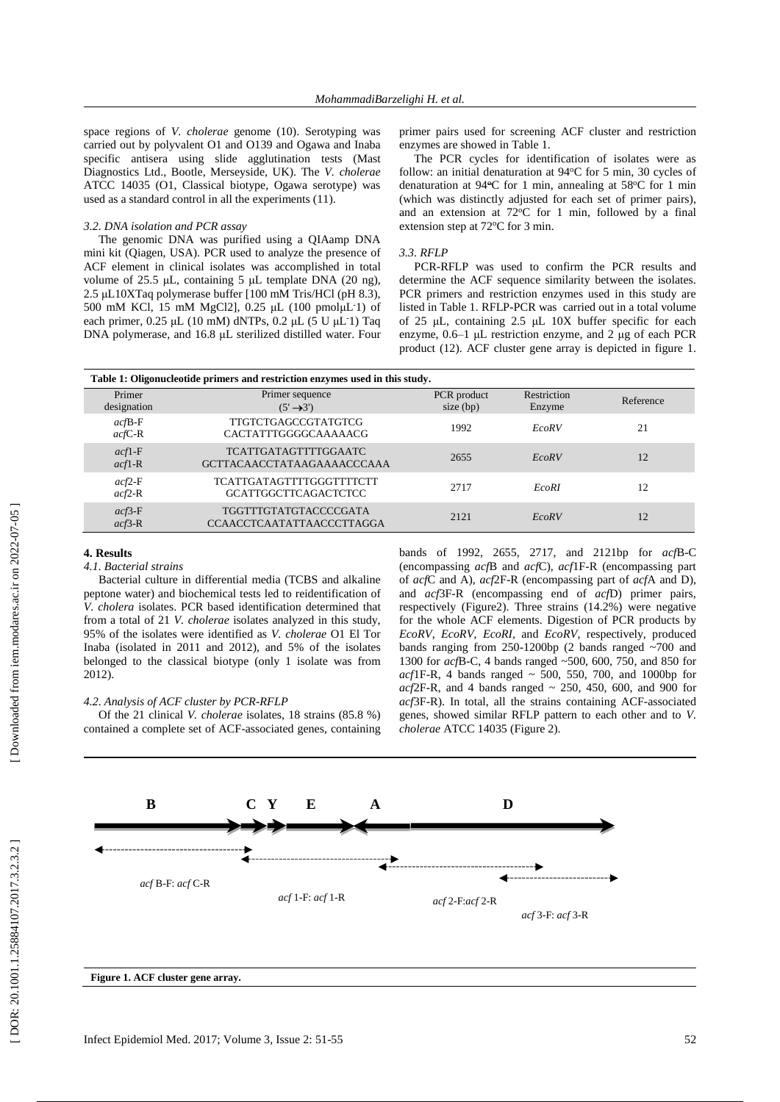space regions of *V. cholerae* genome ( 1 0 ) . Serotyping was carried out by polyvalent O1 and O139 and Ogawa and Inaba specific antisera using slide agglutination tests (Mast Diagnostics Ltd., Bootle, Merseyside, UK). The *V. cholerae* ATCC 14035 (O1, Classical biotype, Ogawa serotype) was used as a standard control in all the experiments (11 ) .

### *3.2. DNA isolation and PCR assay*

The genomic DNA was purified using a QIAamp DNA mini kit (Qiagen, USA ). PCR used to analyze the presence of ACF element in clinical isolates was accomplished in total volume of 25.5 μL, containing 5 μL template DNA (20 ng), 2.5 μ L10 XTaq polymerase buffer [100 mM Tris/HCl (pH 8.3), 500 mM KCl , 15 mM MgCl2], 0.25 μ L (100 pmol μ L -1) of each primer, 0.25 μL (10 mM) dNTPs, 0.2 μL (5 U μL 1) Taq DNA polymerase , and 16.8 μ L sterilized distilled water. Four

primer pairs used for screening ACF cluster and restriction enzymes are showed in Table 1.

The PCR cycles for identification of isolates were as follow: an initial denaturation at 94°C for 5 min, 30 cycles of denaturation at 94°C for 1 min, annealing at 58°C for 1 min (which was distinctly adjusted for each set of primer pairs) , and an extension at  $72^{\circ}$ C for 1 min, followed by a final extension step at 72°C for 3 min.

### *3.3. RFLP*

PCR -RFLP was used to confirm the PCR results and determine the ACF sequence similarity between the isolates. PCR primers and restriction enzymes used in this study are listed in Table 1. RFLP -PCR was carried out in a total volume of 25 μ L , containing 2.5 μL 10X buffer specific for each enzyme, 0.6 –1 μ L restriction enzyme , and 2 μ g of each PCR product (12 ) . ACF cluster gene array is depicted in figure 1.

| Table 1: Oligonucleotide primers and restriction enzymes used in this study. |                                                                  |                            |                       |           |
|------------------------------------------------------------------------------|------------------------------------------------------------------|----------------------------|-----------------------|-----------|
| Primer<br>designation                                                        | Primer sequence<br>$(5' \rightarrow 3')$                         | PCR product<br>size $(bp)$ | Restriction<br>Enzyme | Reference |
| $acfB-F$<br>$acfC-R$                                                         | TTGTCTGAGCCGTATGTCG<br>CACTATTTGGGGCAAAAACG                      | 1992                       | <b>EcoRV</b>          | 21        |
| $acf1-F$<br>$acf1-R$                                                         | <b>TCATTGATAGTTTTGGAATC</b><br><b>GCTTACAACCTATAAGAAAACCCAAA</b> | 2655                       | <b>EcoRV</b>          | 12        |
| $acf2-F$<br>$acf2-R$                                                         | <b>TCATTGATAGTTTTGGGTTTTCTT</b><br><b>GCATTGGCTTCAGACTCTCC</b>   | 2717                       | <b>EcoRI</b>          | 12        |
| $acf3-F$<br>$acf3-R$                                                         | <b>TGGTTTGTATGTACCCCGATA</b><br><b>CCAACCTCAATATTAACCCTTAGGA</b> | 2121                       | <b>EcoRV</b>          | 12        |

### **4. Results**

# *4.1. Bacterial strains*

Bacterial culture in differential medi a (TCBS and alkaline peptone water) and biochemical tests led to reidentification of *V. cholera* isolates. PCR based identification determined that from a total of 21 *V. cholerae* isolates analyzed in this study, 95% of the isolates were identified as *V. cholerae* O1 El Tor Inaba (isolated in 2011 and 2012 ) , and 5 % of the isolates belonged to the classical biotype (only 1 isolate was from 2012).

### *4.2. Analysis of ACF cluster by PCR -RFLP*

Of the 21 clinical *V. cholerae* isolates, 18 strains (85.8 %) contained a complete set of ACF -associated genes , containing

bands of 1992, 2655, 2717, and 2121bp for *acf*B -C (encompassing *acf*B and *acf*C), *acf*1F -R (encompassing part of *acf*C and A), *acf*2F - R (encompassing part of *acf*A and D), and *acf*3F - R (encompassing end of *acf*D) primer pairs, respectively ( Figure2). Three strains (14.2%) were negative for the whole ACF elements. Digestion of PCR products by *EcoRV*, *EcoRV*, *EcoRI,* and *EcoRV*, respectively, produced bands ranging from 250-1200bp (2 bands ranged ~700 and 1300 for *acf*B -C, 4 bands range d ~500, 600, 750 , and 850 for  $acf$ IF-R, 4 bands ranged  $\sim$  500, 550, 700, and 1000bp for  $acf$ 2F-R, and 4 bands ranged  $\sim$  250, 450, 600, and 900 for acf3F-R). In total, all the strains containing ACF-associated genes, showed similar RFLP pattern to each other and to *V. cholerae* ATCC 14035 ( Figure 2).

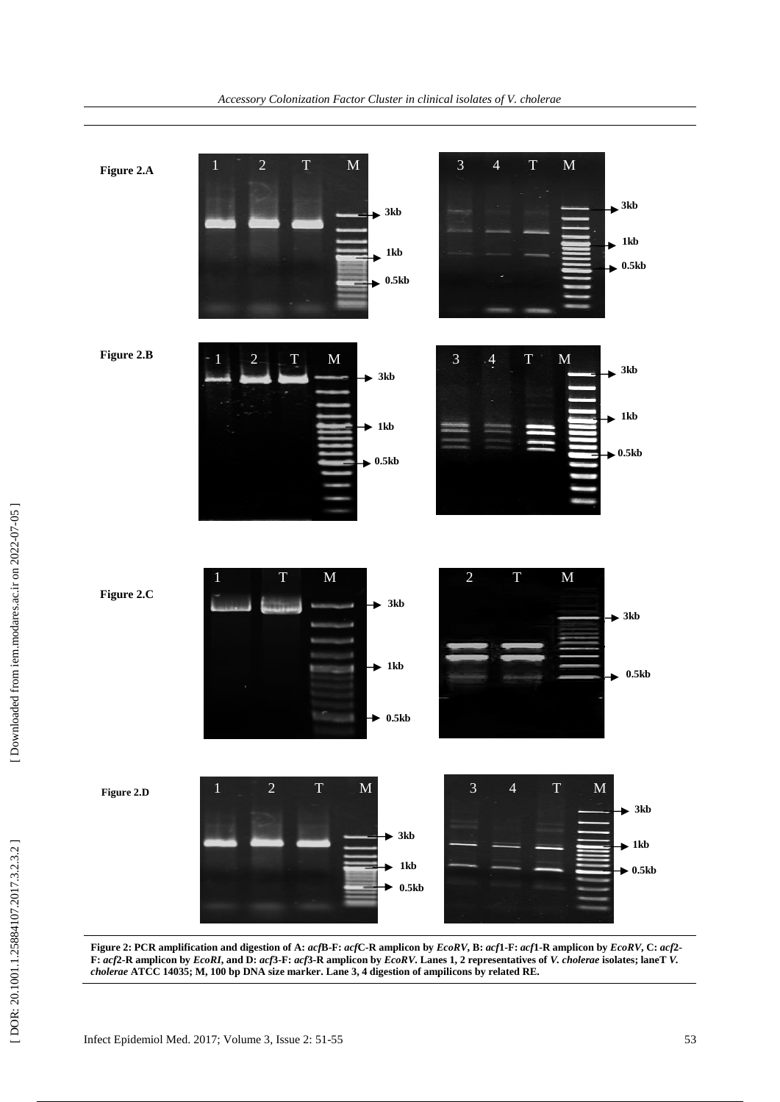

Figure 2: PCR amplification and digestion of A: acfB-F: acfC-R amplicon by EcoRV, B: acf1-F: acf1-R amplicon by EcoRV, C: acf2-F: acf2-R amplicon by EcoRI, and D: acf3-F: acf3-R amplicon by EcoRV. Lanes 1, 2 representatives of V. cholerae isolates; laneTV. *cholerae* **ATCC 14035; M, 100 bp DNA size marker. Lane 3, 4 digestion of ampilicons by related RE.**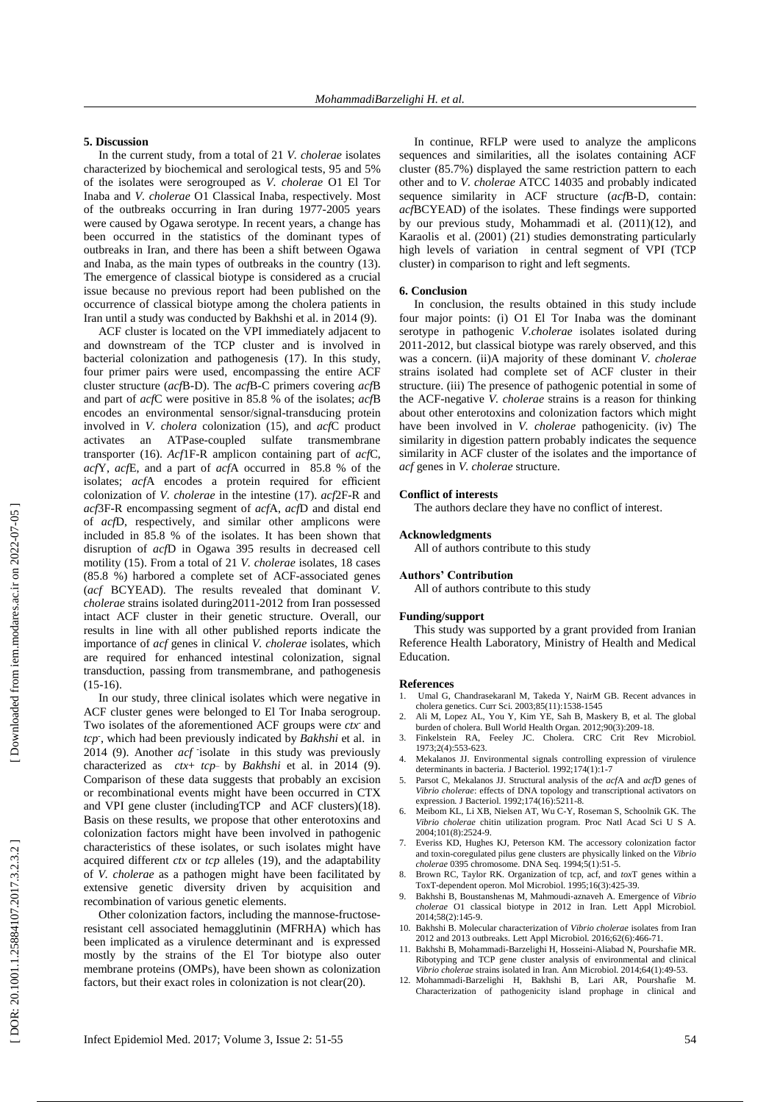### **5. Discussion**

In the current study, from a total of 21 *V. cholerae* isolates characterized by biochemical and serological tests, 9 5 and 5% of the isolates were serogrouped as *V. cholerae* O1 El Tor Inaba and *V. cholerae* O1 Classical Inaba, respectively . Most of the outbreaks occurring in Iran during 1977 -2005 years were caused by Ogawa serotype. In recent years, a change has been occur red in the statistics of the dominant types of outbreaks in Iran , and there has been a shift between Ogawa and Inaba, as the main types of outbreaks in the country (13 ). The emergence of classical biotype is considered as a crucial issue because no previous report had been published on the occurrence of classical biotype among the cholera patients in Iran until a study was conducted by Bakhshi et al. in 2014 ( 9 ) .

ACF cluster is located on the VPI immediately adjacent to and downstream of the TCP cluster and is involved in bacterial colonization and pathogenesis (17 ) . In this study, four primer pairs were used , encompassing the entire ACF cluster structure (*acf*B -D) . The *acf*B - C primer s covering *acf*B and part of *acf*C were posi tive in 85.8 % of the isolates; *acf*B encodes an environmental sensor/signal -transducing protein involved in *V. cholera* colonization (15 ) , and *acf*C product activates n ATPase -coupled sulfate transmembrane transporter (16 ) . *Acf*1F -R amplicon containing part of *acf*C, *acf*Y, *acf*E , and a part of *acf*A occurred in 85.8 % of the isolates ; *acf*A encodes a protein required for efficient colonization of *V. cholerae* in the intestine (17 ). *acf*2F - R and *acf*3F - R encompassing segment of *acf*A, *acf*D and distal end of *acf*D, respectively , and similar other amplicons were included in 85.8 % of the isolates. It ha s been shown that disruption of *acf*D in Ogawa 395 results in decreased cell motility (15). From a total of 21 *V. cholerae* isolates , 18 cases (85. 8 %) harbored a complete set of ACF -associated genes (*acf* BCYEAD). The results revealed that dominant *V. cholerae* strains isolated during2011 -2012 from Iran possessed intact ACF cluster in their genetic structure. Overall, our results in line with all other published reports indicate the importance of *acf* genes in clini cal *V. cholerae* isolates , which are required for enhanced intestinal colonization, signal transduction, passing from transmembrane , and pathogenesis  $(15-16).$ 

In our study, three clinical isolates which were negative in ACF cluster genes were belonged to El Tor Inaba serogroup . Two isolates of the aforementioned ACF groups were *ctx* and tcp<sup>-</sup>, which had been previously indicated by *Bakhshi* et al. in 2014 (9). Another *acf* isolate in this study was previously characterized as  $ctx+ tcp$  by *Bakhshi* et al. in 2014 (9). Comparison of these data suggests that probably an excision or recombinational events might have been occurred in CTX and VPI gene cluster (includingTCP and ACF clusters)(18). Basis on these results, we propose that other enterotoxins and colonization factors might have been involved in pathogenic characteristics of these isolates , or such isolates might have acquired different *ctx* or *tcp* alleles (19 ) , and the adaptability of *V. cholerae* as a pathogen might have been facilitated by extensive genetic diversity driven by acquisition and recombination of various genetic elements.

Other colonization factors, including the mannose-fructoseresistant cell associated hemagglutinin (MFRHA) which has been implicated as a virulence determinant and is expressed mostly by the strains of the El Tor biotype also outer membrane proteins (OMPs) , have been shown as colonization factors, but their exact roles in colonization is not clear(20).

In continue , RFLP were used to analyze the amplicon s sequences and similarities, all the isolates containing ACF cluster (85.7%) displayed the same restriction pattern to each other and to *V. cholerae* ATCC 14035 and probably indicate d sequence similarity in ACF structure (*acf*B - D, contain: *acf*BCYEAD ) of the isolates. These finding s were supported by our previous study, Mohammadi et al. (2011 ) (12 ) , and Karaolis et al. (2001) (2 1 ) studies demonstrating particularly high levels of variation in central segment of VPI (TCP cluster) in comparison to right and left segments.

### **6. Conclusion**

In conclusion, the results obtained in this study include four major points : (i) O1 El Tor Inaba was the dominant serotype in pathogenic *V.cholerae* isolates isolated during 2011 -2012 , but classical biotype was rarely o bserve d , and this was a concern . (ii)A majority of these dominant *V. cholerae* strains isolated ha d complete set of ACF cluster in their stru cture. (iii) The presence of pathogenic potential in some of the ACF -negative *V. cholerae* strains is a reason for thinking about other enterotoxins and colonization factors which might have been involved in *V. cholerae* pathogenicity . (iv) The similarity in digestion pattern probably indicate s the sequence similarity in ACF cluster of the isolates and the importance of *acf* genes in *V. cholerae* structure.

### **Conflict of interests**

The authors declare they have no conflict of interest .

### **Acknowledgments**

All of authors contribute to this study

### **Authors' Contribution**

All of authors contribute to this study

#### **Funding/support**

This study was supported by a grant provided from Iranian Reference Health Laboratory, Ministry of Health and Medical Education.

### **References**

- 1. Umal G, Chandrasekaranl M, Takeda Y, NairM GB. Recent advances in cholera genetics. Curr Sci. 2003;85(11):1538 -1545
- 2. Ali M, Lopez AL, You Y, Kim YE, Sah B, Maskery B, et al. The global burden of cholera. Bull World Health Organ. 2012;90(3):209 -18.
- 3. Finkelstein RA, Feeley JC. Cholera. CRC Crit Rev Microbiol. 1973;2(4):553 -623.
- 4. Mekalanos JJ. Environmental signals controlling expression of virulence determinants in bacteria. J Bacteriol. 1992;174(1):1-7
- 5. Parsot C, Mekalanos JJ. Structural analysis of the *acf*A and *acf*D genes of *Vibrio cholerae*: effects of DNA topology and transcriptional activators on expression. J Bacteriol. 1992;174(16):5211 -8.
- 6. Meibom KL, Li XB, Nielsen AT, Wu C -Y, Roseman S, Schoolnik GK. The *Vibrio cholerae* chitin utilization program. Proc Nat l Acad Sci U S A. 2004;101(8):2524 -9.
- Everiss KD, Hughes KJ, Peterson KM. The accessory colonization factor and toxin -coregulated pilus gene clusters are physically linked on the *Vibrio cholerae* 0395 chromosome. DNA Seq. 1994;5(1):51 -5.
- 8. Brown RC, Taylor RK. Organization of tcp, acf, and *tox*T genes within a ToxT ‐dependent operon. Mol Microbiol. 1995;16(3):425 -39.
- 9. Bakhshi B, Boustanshenas M, Mahmoudi ‐aznaveh A. Emergence of *Vibrio cholerae* O1 classical biotype in 2012 in Iran. Lett Appl Microbiol. 2014;58(2):145 -9.
- 10. Bakhshi B. Molecular characterization of *Vibrio cholerae* isolates from Iran 2012 and 2013 outbreaks. Lett Appl Microbiol. 2016;62(6):466 -71.
- 11. Bakhshi B, Mohammadi -Barzelighi H, Hosseini -Aliabad N, Pourshafie MR. Ribotyping and TCP gene cluster analysis of environmental and clinical *Vibrio cholerae* strains isolated in Iran. Ann Microbiol. 2014;64(1):49 -53.
- 12. Mohammadi -Barzelighi H, Bakhshi B, Lari AR, Pourshafie M. Characterization of pathogenicity island prophage in clinical and